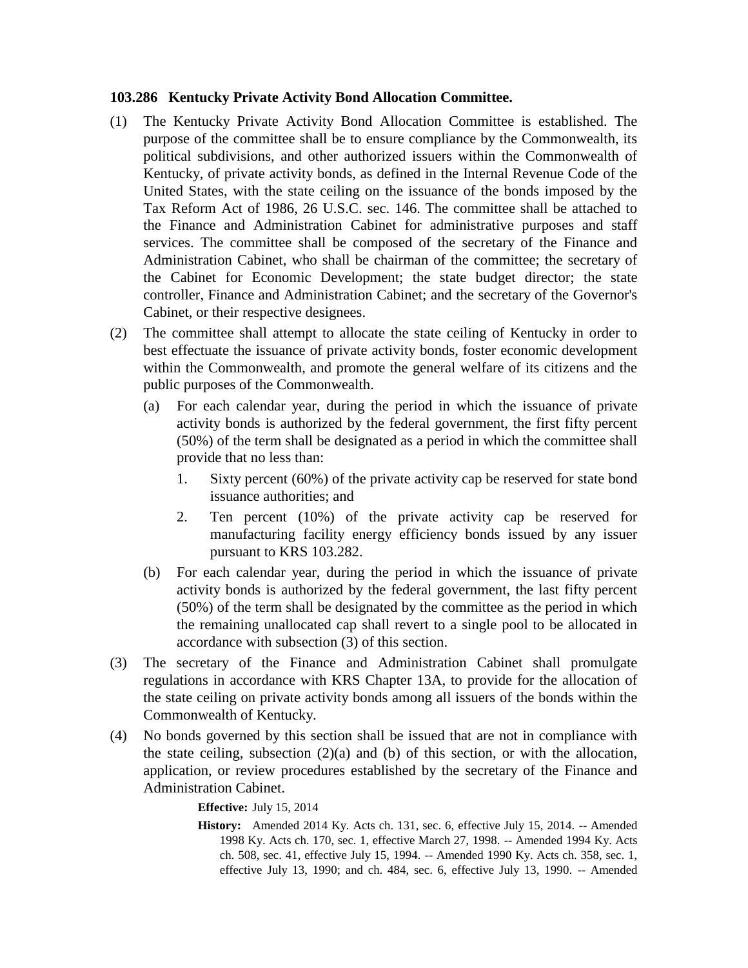## **103.286 Kentucky Private Activity Bond Allocation Committee.**

- (1) The Kentucky Private Activity Bond Allocation Committee is established. The purpose of the committee shall be to ensure compliance by the Commonwealth, its political subdivisions, and other authorized issuers within the Commonwealth of Kentucky, of private activity bonds, as defined in the Internal Revenue Code of the United States, with the state ceiling on the issuance of the bonds imposed by the Tax Reform Act of 1986, 26 U.S.C. sec. 146. The committee shall be attached to the Finance and Administration Cabinet for administrative purposes and staff services. The committee shall be composed of the secretary of the Finance and Administration Cabinet, who shall be chairman of the committee; the secretary of the Cabinet for Economic Development; the state budget director; the state controller, Finance and Administration Cabinet; and the secretary of the Governor's Cabinet, or their respective designees.
- (2) The committee shall attempt to allocate the state ceiling of Kentucky in order to best effectuate the issuance of private activity bonds, foster economic development within the Commonwealth, and promote the general welfare of its citizens and the public purposes of the Commonwealth.
	- (a) For each calendar year, during the period in which the issuance of private activity bonds is authorized by the federal government, the first fifty percent (50%) of the term shall be designated as a period in which the committee shall provide that no less than:
		- 1. Sixty percent (60%) of the private activity cap be reserved for state bond issuance authorities; and
		- 2. Ten percent (10%) of the private activity cap be reserved for manufacturing facility energy efficiency bonds issued by any issuer pursuant to KRS 103.282.
	- (b) For each calendar year, during the period in which the issuance of private activity bonds is authorized by the federal government, the last fifty percent (50%) of the term shall be designated by the committee as the period in which the remaining unallocated cap shall revert to a single pool to be allocated in accordance with subsection (3) of this section.
- (3) The secretary of the Finance and Administration Cabinet shall promulgate regulations in accordance with KRS Chapter 13A, to provide for the allocation of the state ceiling on private activity bonds among all issuers of the bonds within the Commonwealth of Kentucky.
- (4) No bonds governed by this section shall be issued that are not in compliance with the state ceiling, subsection  $(2)(a)$  and  $(b)$  of this section, or with the allocation, application, or review procedures established by the secretary of the Finance and Administration Cabinet.

**Effective:** July 15, 2014

**History:** Amended 2014 Ky. Acts ch. 131, sec. 6, effective July 15, 2014. -- Amended 1998 Ky. Acts ch. 170, sec. 1, effective March 27, 1998. -- Amended 1994 Ky. Acts ch. 508, sec. 41, effective July 15, 1994. -- Amended 1990 Ky. Acts ch. 358, sec. 1, effective July 13, 1990; and ch. 484, sec. 6, effective July 13, 1990. -- Amended